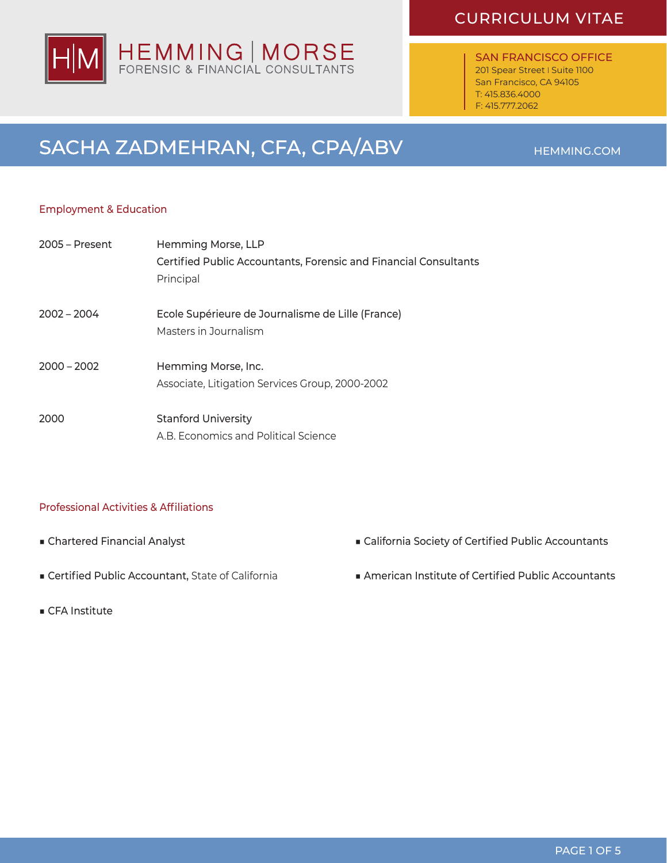SAN FRANCISCO OFFICE 201 Spear Street | Suite 1100 San Francisco, CA 94105 T: 415.836.4000 F: 415.777.2062

# SACHA ZADMEHRAN, CFA, CPA/ABV HEMMING.COM

### Employment & Education

| $2005 - Present$ | Hemming Morse, LLP                                                         |
|------------------|----------------------------------------------------------------------------|
|                  | Certified Public Accountants, Forensic and Financial Consultants           |
|                  | Principal                                                                  |
| $2002 - 2004$    | Ecole Supérieure de Journalisme de Lille (France)<br>Masters in Journalism |
| $2000 - 2002$    | Hemming Morse, Inc.                                                        |
|                  | Associate, Litigation Services Group, 2000-2002                            |
| 2000             | <b>Stanford University</b>                                                 |
|                  | A.B. Economics and Political Science                                       |

### Professional Activities & Affiliations

- Chartered Financial Analyst
- Certified Public Accountant, State of California
- CFA Institute
- California Society of Certified Public Accountants
- American Institute of Certified Public Accountants

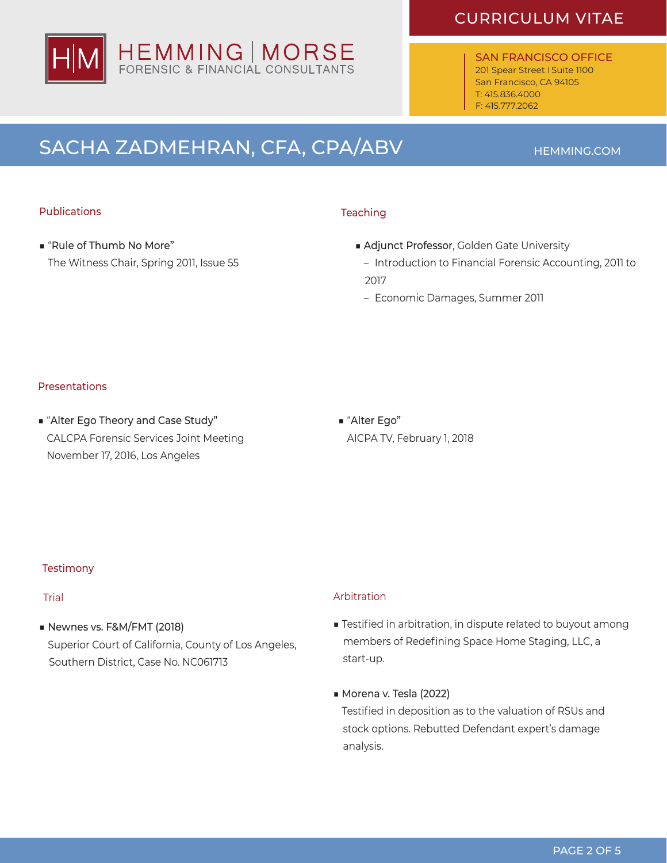

SAN FRANCISCO OFFICE 201 Spear Street | Suite 1100 San Francisco, CA 94105 T: 415.836.4000 F: 415.777.2062

# SACHA ZADMEHRAN, CFA, CPA/ABV **HEMMING.COM**

### Publications

■ "Rule of Thumb No More" The Witness Chair, Spring 2011, Issue 55

### **Teaching**

- Adjunct Professor, Golden Gate University
- Introduction to Financial Forensic Accounting, 2011 to 2017
- Economic Damages, Summer 2011

### Presentations

■ "Alter Ego Theory and Case Study" CALCPA Forensic Services Joint Meeting November 17, 2016, Los Angeles

■ "Alter Ego" AICPA TV, February 1, 2018

#### **Testimony**

■ Newnes vs. F&M/FMT (2018)

 Superior Court of California, County of Los Angeles, Southern District, Case No. NC061713

### Trial Arbitration

- Testified in arbitration, in dispute related to buyout among members of Redefining Space Home Staging, LLC, a start-up.
- ■ Morena v. Tesla (2022)

 Testified in deposition as to the valuation of RSUs and stock options. Rebutted Defendant expert's damage analysis.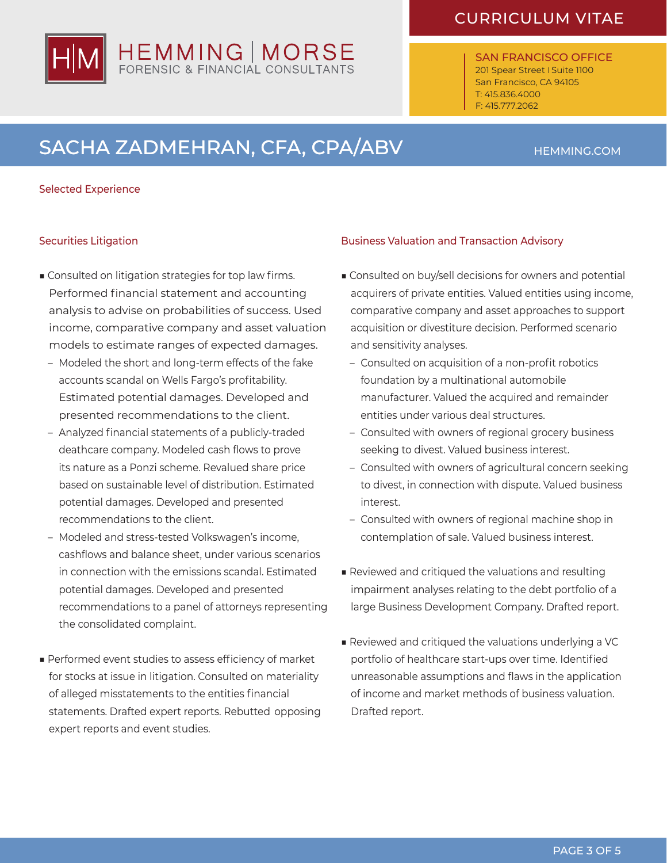SAN FRANCISCO OFFICE 201 Spear Street | Suite 1100 San Francisco, CA 94105 T: 415.836.4000 F: 415.777.2062

# SACHA ZADMEHRAN, CFA, CPA/ABV **HEMMING.COM**

HEMMING | MORSE<br>FORENSIC & FINANCIAL CONSULTANTS

#### Selected Experience

### Securities Litigation

- Consulted on litigation strategies for top law firms. Performed financial statement and accounting analysis to advise on probabilities of success. Used income, comparative company and asset valuation models to estimate ranges of expected damages.
	- Modeled the short and long-term effects of the fake accounts scandal on Wells Fargo's profitability. Estimated potential damages. Developed and presented recommendations to the client.
	- Analyzed financial statements of a publicly-traded deathcare company. Modeled cash flows to prove its nature as a Ponzi scheme. Revalued share price based on sustainable level of distribution. Estimated potential damages. Developed and presented recommendations to the client.
	- Modeled and stress-tested Volkswagen's income, cashflows and balance sheet, under various scenarios in connection with the emissions scandal. Estimated potential damages. Developed and presented recommendations to a panel of attorneys representing the consolidated complaint.
- Performed event studies to assess efficiency of market for stocks at issue in litigation. Consulted on materiality of alleged misstatements to the entities financial statements. Drafted expert reports. Rebutted opposing expert reports and event studies.

### Business Valuation and Transaction Advisory

- Consulted on buy/sell decisions for owners and potential acquirers of private entities. Valued entities using income, comparative company and asset approaches to support acquisition or divestiture decision. Performed scenario and sensitivity analyses.
	- Consulted on acquisition of a non-profit robotics foundation by a multinational automobile manufacturer. Valued the acquired and remainder entities under various deal structures.
	- Consulted with owners of regional grocery business seeking to divest. Valued business interest.
	- Consulted with owners of agricultural concern seeking to divest, in connection with dispute. Valued business interest.
	- Consulted with owners of regional machine shop in contemplation of sale. Valued business interest.
- Reviewed and critiqued the valuations and resulting impairment analyses relating to the debt portfolio of a large Business Development Company. Drafted report.
- Reviewed and critiqued the valuations underlying a VC portfolio of healthcare start-ups over time. Identified unreasonable assumptions and flaws in the application of income and market methods of business valuation. Drafted report.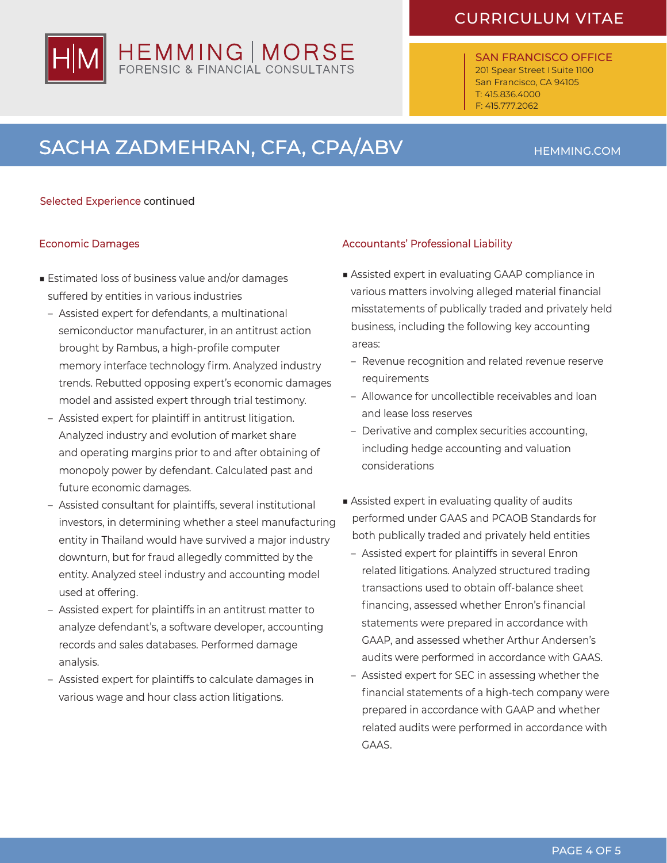SAN FRANCISCO OFFICE 201 Spear Street I Suite 1100 San Francisco, CA 94105 T: 415.836.4000 F: 415.777.2062

# SACHA ZADMEHRAN, CFA, CPA/ABV **HEMMING.COM**

#### Selected Experience continued

#### Economic Damages

- Estimated loss of business value and/or damages suffered by entities in various industries
	- Assisted expert for defendants, a multinational semiconductor manufacturer, in an antitrust action brought by Rambus, a high-profile computer memory interface technology firm. Analyzed industry trends. Rebutted opposing expert's economic damages model and assisted expert through trial testimony.
	- Assisted expert for plaintiff in antitrust litigation. Analyzed industry and evolution of market share and operating margins prior to and after obtaining of monopoly power by defendant. Calculated past and future economic damages.
	- Assisted consultant for plaintiffs, several institutional investors, in determining whether a steel manufacturing entity in Thailand would have survived a major industry downturn, but for fraud allegedly committed by the entity. Analyzed steel industry and accounting model used at offering.
	- Assisted expert for plaintiffs in an antitrust matter to analyze defendant's, a software developer, accounting records and sales databases. Performed damage analysis.
	- Assisted expert for plaintiffs to calculate damages in various wage and hour class action litigations.

#### Accountants' Professional Liability

- Assisted expert in evaluating GAAP compliance in various matters involving alleged material financial misstatements of publically traded and privately held business, including the following key accounting areas:
	- Revenue recognition and related revenue reserve requirements
	- Allowance for uncollectible receivables and loan and lease loss reserves
	- Derivative and complex securities accounting, including hedge accounting and valuation considerations
- Assisted expert in evaluating quality of audits performed under GAAS and PCAOB Standards for both publically traded and privately held entities
	- Assisted expert for plaintiffs in several Enron related litigations. Analyzed structured trading transactions used to obtain off-balance sheet financing, assessed whether Enron's financial statements were prepared in accordance with GAAP, and assessed whether Arthur Andersen's audits were performed in accordance with GAAS.
	- Assisted expert for SEC in assessing whether the financial statements of a high-tech company were prepared in accordance with GAAP and whether related audits were performed in accordance with GAAS.